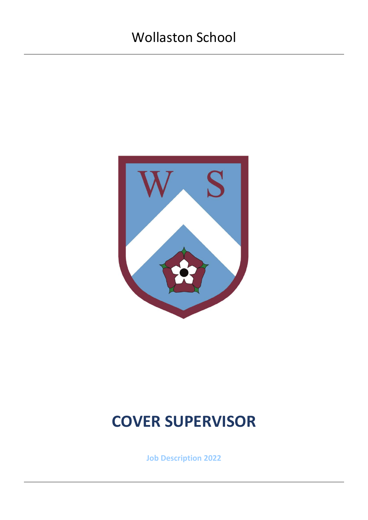

# **COVER SUPERVISOR**

**Job Description 2022**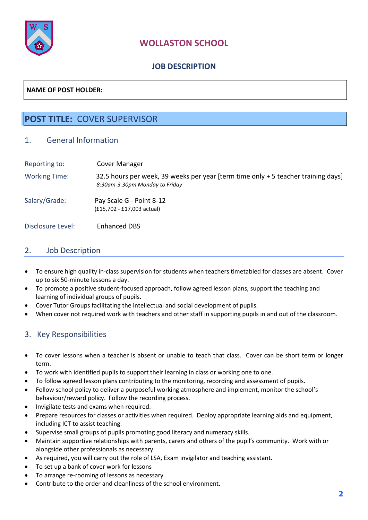

# **WOLLASTON SCHOOL**

## **JOB DESCRIPTION**

### **NAME OF POST HOLDER:**

# **POST TITLE:** COVER SUPERVISOR

#### 1. General Information

| Reporting to:        | Cover Manager                                                                                                       |
|----------------------|---------------------------------------------------------------------------------------------------------------------|
| <b>Working Time:</b> | 32.5 hours per week, 39 weeks per year [term time only + 5 teacher training days]<br>8:30am-3.30pm Monday to Friday |
| Salary/Grade:        | Pay Scale G - Point 8-12<br>(£15,702 - £17,003 actual)                                                              |
| Disclosure Level:    | <b>Enhanced DBS</b>                                                                                                 |

#### 2. Job Description

- To ensure high quality in-class supervision for students when teachers timetabled for classes are absent. Cover up to six 50-minute lessons a day.
- To promote a positive student-focused approach, follow agreed lesson plans, support the teaching and learning of individual groups of pupils.
- Cover Tutor Groups facilitating the intellectual and social development of pupils.
- When cover not required work with teachers and other staff in supporting pupils in and out of the classroom.

## 3. Key Responsibilities

- To cover lessons when a teacher is absent or unable to teach that class. Cover can be short term or longer term.
- To work with identified pupils to support their learning in class or working one to one.
- To follow agreed lesson plans contributing to the monitoring, recording and assessment of pupils.
- Follow school policy to deliver a purposeful working atmosphere and implement, monitor the school's behaviour/reward policy. Follow the recording process.
- Invigilate tests and exams when required.
- Prepare resources for classes or activities when required. Deploy appropriate learning aids and equipment, including ICT to assist teaching.
- Supervise small groups of pupils promoting good literacy and numeracy skills.
- Maintain supportive relationships with parents, carers and others of the pupil's community. Work with or alongside other professionals as necessary.
- As required, you will carry out the role of LSA, Exam invigilator and teaching assistant.
- To set up a bank of cover work for lessons
- To arrange re-rooming of lessons as necessary
- Contribute to the order and cleanliness of the school environment.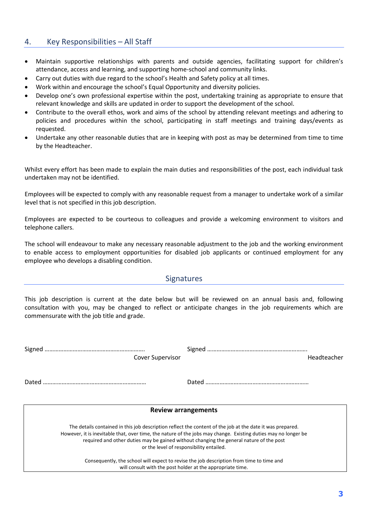#### 4. Key Responsibilities – All Staff

- Maintain supportive relationships with parents and outside agencies, facilitating support for children's attendance, access and learning, and supporting home-school and community links.
- Carry out duties with due regard to the school's Health and Safety policy at all times.
- Work within and encourage the school's Equal Opportunity and diversity policies.
- Develop one's own professional expertise within the post, undertaking training as appropriate to ensure that relevant knowledge and skills are updated in order to support the development of the school.
- Contribute to the overall ethos, work and aims of the school by attending relevant meetings and adhering to policies and procedures within the school, participating in staff meetings and training days/events as requested.
- Undertake any other reasonable duties that are in keeping with post as may be determined from time to time by the Headteacher.

Whilst every effort has been made to explain the main duties and responsibilities of the post, each individual task undertaken may not be identified.

Employees will be expected to comply with any reasonable request from a manager to undertake work of a similar level that is not specified in this job description.

Employees are expected to be courteous to colleagues and provide a welcoming environment to visitors and telephone callers.

The school will endeavour to make any necessary reasonable adjustment to the job and the working environment to enable access to employment opportunities for disabled job applicants or continued employment for any employee who develops a disabling condition.

#### **Signatures**

This job description is current at the date below but will be reviewed on an annual basis and, following consultation with you, may be changed to reflect or anticipate changes in the job requirements which are commensurate with the job title and grade.

| <b>Cover Supervisor</b>                                                                                        | Headteacher                                                                             |  |  |  |  |
|----------------------------------------------------------------------------------------------------------------|-----------------------------------------------------------------------------------------|--|--|--|--|
|                                                                                                                |                                                                                         |  |  |  |  |
|                                                                                                                |                                                                                         |  |  |  |  |
|                                                                                                                |                                                                                         |  |  |  |  |
|                                                                                                                |                                                                                         |  |  |  |  |
| <b>Review arrangements</b>                                                                                     |                                                                                         |  |  |  |  |
| The details contained in this job description reflect the content of the job at the date it was prepared.      |                                                                                         |  |  |  |  |
| However, it is inevitable that, over time, the nature of the jobs may change. Existing duties may no longer be |                                                                                         |  |  |  |  |
|                                                                                                                | required and other duties may be gained without changing the general nature of the post |  |  |  |  |

or the level of responsibility entailed.

Consequently, the school will expect to revise the job description from time to time and will consult with the post holder at the appropriate time.